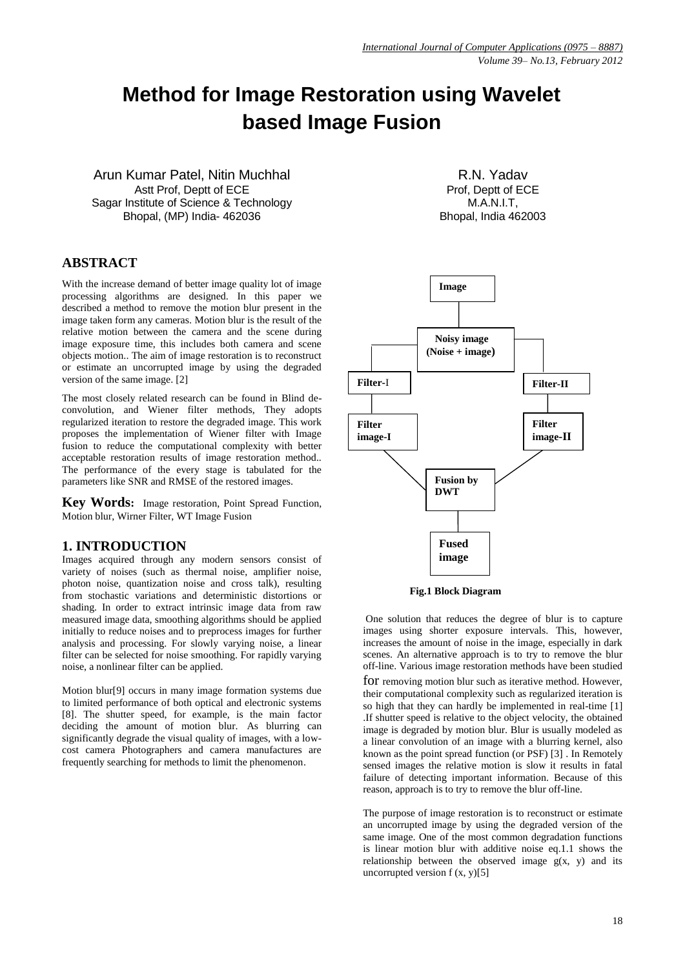# **Method for Image Restoration using Wavelet based Image Fusion**

Arun Kumar Patel, Nitin Muchhal Astt Prof, Deptt of ECE Sagar Institute of Science & Technology Bhopal, (MP) India- 462036

# **ABSTRACT**

With the increase demand of better image quality lot of image processing algorithms are designed. In this paper we described a method to remove the motion blur present in the image taken form any cameras. Motion blur is the result of the relative motion between the camera and the scene during image exposure time, this includes both camera and scene objects motion.. The aim of image restoration is to reconstruct or estimate an uncorrupted image by using the degraded version of the same image. [2]

The most closely related research can be found in Blind deconvolution, and Wiener filter methods, They adopts regularized iteration to restore the degraded image. This work proposes the implementation of Wiener filter with Image fusion to reduce the computational complexity with better acceptable restoration results of image restoration method.. The performance of the every stage is tabulated for the parameters like SNR and RMSE of the restored images.

**Key Words:** Image restoration, Point Spread Function, Motion blur, Wirner Filter, WT Image Fusion

#### **1. INTRODUCTION**

Images acquired through any modern sensors consist of variety of noises (such as thermal noise, amplifier noise, photon noise, quantization noise and cross talk), resulting from stochastic variations and deterministic distortions or shading. In order to extract intrinsic image data from raw measured image data, smoothing algorithms should be applied initially to reduce noises and to preprocess images for further analysis and processing. For slowly varying noise, a linear filter can be selected for noise smoothing. For rapidly varying noise, a nonlinear filter can be applied.

Motion blur[9] occurs in many image formation systems due to limited performance of both optical and electronic systems [8]. The shutter speed, for example, is the main factor deciding the amount of motion blur. As blurring can significantly degrade the visual quality of images, with a lowcost camera Photographers and camera manufactures are frequently searching for methods to limit the phenomenon.

R.N. Yadav Prof, Deptt of ECE M.A.N.I.T, Bhopal, India 462003



 **Fig.1 Block Diagram**

One solution that reduces the degree of blur is to capture images using shorter exposure intervals. This, however, increases the amount of noise in the image, especially in dark scenes. An alternative approach is to try to remove the blur off-line. Various image restoration methods have been studied for removing motion blur such as iterative method. However, their computational complexity such as regularized iteration is so high that they can hardly be implemented in real-time [1] .If shutter speed is relative to the object velocity, the obtained image is degraded by motion blur. Blur is usually modeled as a linear convolution of an image with a blurring kernel, also known as the point spread function (or PSF) [3] . In Remotely sensed images the relative motion is slow it results in fatal failure of detecting important information. Because of this reason, approach is to try to remove the blur off-line.

The purpose of image restoration is to reconstruct or estimate an uncorrupted image by using the degraded version of the same image. One of the most common degradation functions is linear motion blur with additive noise eq.1.1 shows the relationship between the observed image  $g(x, y)$  and its uncorrupted version  $f(x, y)$ [5]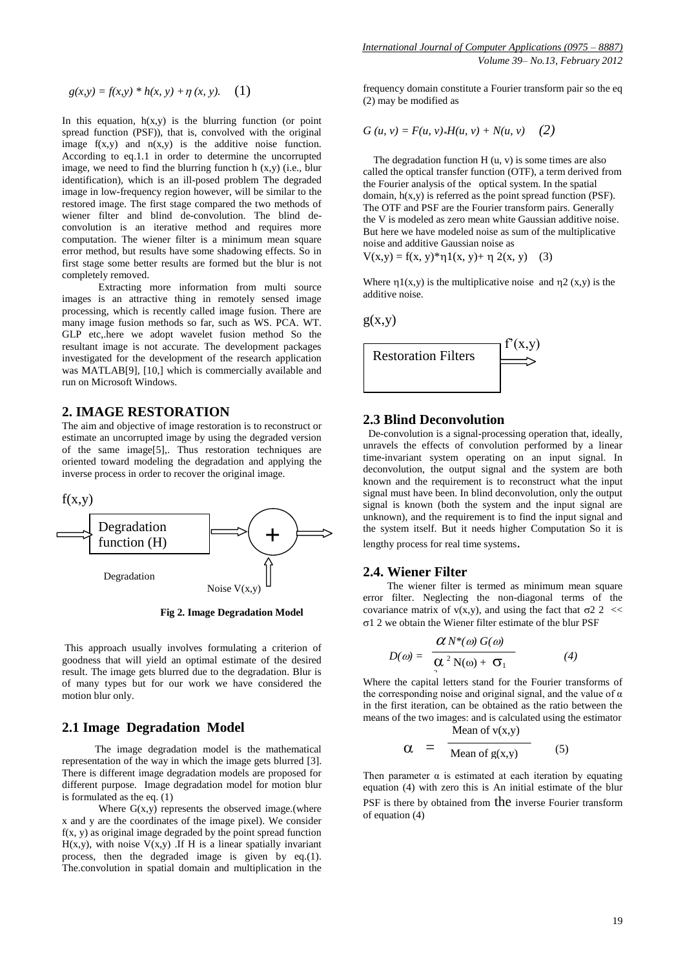$$
g(x, y) = f(x, y) * h(x, y) + \eta(x, y). \quad (1)
$$

In this equation,  $h(x,y)$  is the blurring function (or point spread function (PSF)), that is, convolved with the original image  $f(x,y)$  and  $n(x,y)$  is the additive noise function. According to eq.1.1 in order to determine the uncorrupted image, we need to find the blurring function h  $(x,y)$  (i.e., blur identification), which is an ill-posed problem The degraded image in low-frequency region however, will be similar to the restored image. The first stage compared the two methods of wiener filter and blind de-convolution. The blind deconvolution is an iterative method and requires more computation. The wiener filter is a minimum mean square error method, but results have some shadowing effects. So in first stage some better results are formed but the blur is not completely removed.

 Extracting more information from multi source images is an attractive thing in remotely sensed image processing, which is recently called image fusion. There are many image fusion methods so far, such as WS. PCA. WT. GLP etc,.here we adopt wavelet fusion method So the resultant image is not accurate. The development packages investigated for the development of the research application was MATLAB[9], [10,] which is commercially available and run on Microsoft Windows.

## **2. IMAGE RESTORATION**

The aim and objective of image restoration is to reconstruct or estimate an uncorrupted image by using the degraded version of the same image[5],. Thus restoration techniques are oriented toward modeling the degradation and applying the inverse process in order to recover the original image.



 **Fig 2. Image Degradation Model**

This approach usually involves formulating a criterion of goodness that will yield an optimal estimate of the desired result. The image gets blurred due to the degradation. Blur is of many types but for our work we have considered the motion blur only.

## **2.1 Image Degradation Model**

The image degradation model is the mathematical representation of the way in which the image gets blurred [3]. There is different image degradation models are proposed for different purpose. Image degradation model for motion blur is formulated as the eq. (1)

Where  $G(x,y)$  represents the observed image.(where x and y are the coordinates of the image pixel). We consider  $f(x, y)$  as original image degraded by the point spread function  $H(x,y)$ , with noise  $V(x,y)$ . If H is a linear spatially invariant process, then the degraded image is given by eq.(1). The.convolution in spatial domain and multiplication in the

frequency domain constitute a Fourier transform pair so the eq (2) may be modified as

$$
G(u, v) = F(u, v) * H(u, v) + N(u, v) \quad (2)
$$

The degradation function  $H(u, v)$  is some times are also called the optical transfer function (OTF), a term derived from the Fourier analysis of the optical system. In the spatial domain, h(x,y) is referred as the point spread function (PSF). The OTF and PSF are the Fourier transform pairs. Generally the V is modeled as zero mean white Gaussian additive noise. But here we have modeled noise as sum of the multiplicative noise and additive Gaussian noise as

 $V(x,y) = f(x, y) * \eta 1(x, y) + \eta 2(x, y)$  (3)

Where  $\eta_1(x,y)$  is the multiplicative noise and  $\eta_2(x,y)$  is the additive noise.

$$
g(x,y)
$$



## **2.3 Blind Deconvolution**

 De-convolution is a signal-processing operation that, ideally, unravels the effects of convolution performed by a linear time-invariant system operating on an input signal. In deconvolution, the output signal and the system are both known and the requirement is to reconstruct what the input signal must have been. In blind deconvolution, only the output signal is known (both the system and the input signal are unknown), and the requirement is to find the input signal and the system itself. But it needs higher Computation So it is lengthy process for real time systems.

## **2.4. Wiener Filter**

 The wiener filter is termed as minimum mean square error filter. Neglecting the non-diagonal terms of the covariance matrix of  $v(x,y)$ , and using the fact that  $\sigma$ 2 2 <<  $\sigma$ 1 2 we obtain the Wiener filter estimate of the blur PSF

$$
D(\omega) = \frac{\alpha N^*(\omega) G(\omega)}{\alpha^2 N(\omega) + \sigma_1}
$$
 (4)

2 Where the capital letters stand for the Fourier transforms of the corresponding noise and original signal, and the value of  $\alpha$ in the first iteration, can be obtained as the ratio between the means of the two images: and is calculated using the estimator Mean of  $v(x,y)$ 

$$
\alpha = \frac{1}{\text{Mean of } g(x,y)} \qquad (5)
$$

Then parameter  $\alpha$  is estimated at each iteration by equating equation (4) with zero this is An initial estimate of the blur PSF is there by obtained from the inverse Fourier transform of equation (4)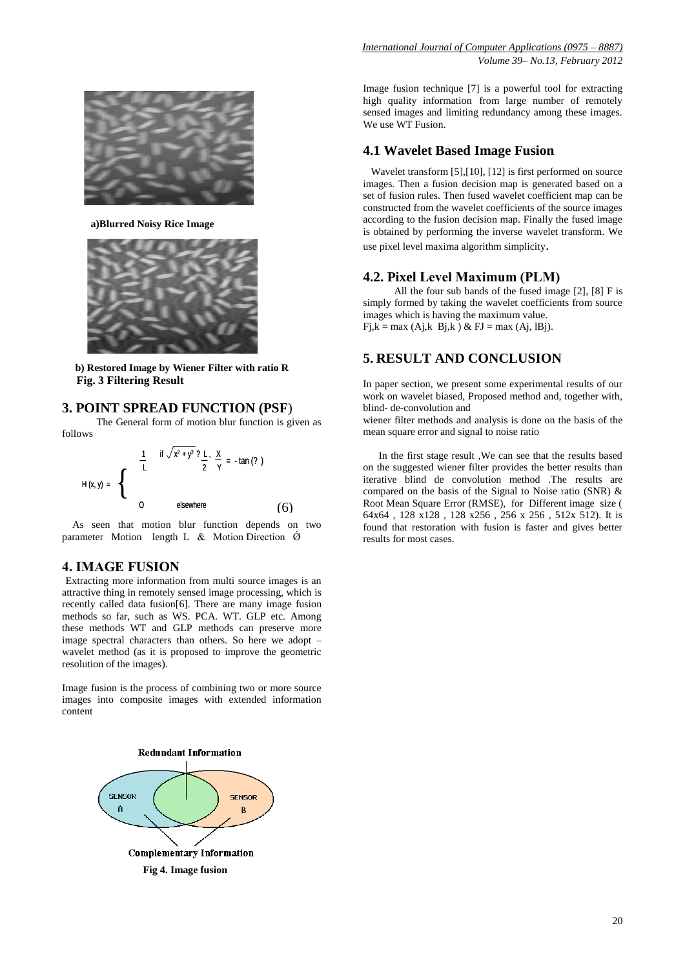

 **a)Blurred Noisy Rice Image**



 **b) Restored Image by Wiener Filter with ratio R Fig. 3 Filtering Result**

## **3. POINT SPREAD FUNCTION (PSF**)

 The General form of motion blur function is given as follows

$$
H(x, y) =
$$
\n
$$
\begin{cases}\n\frac{1}{L} & \text{if } \sqrt{x^{2} + y^{2}} ? \frac{L}{2}, \frac{x}{y} = -\tan(?) \\
0 & \text{elsewhere}\n\end{cases}
$$
\n(6)

 As seen that motion blur function depends on two parameter Motion length L & Motion Direction  $\acute{\varnothing}$ 

#### **4. IMAGE FUSION**

Extracting more information from multi source images is an attractive thing in remotely sensed image processing, which is recently called data fusion[6]. There are many image fusion methods so far, such as WS. PCA. WT. GLP etc. Among these methods WT and GLP methods can preserve more image spectral characters than others. So here we adopt – wavelet method (as it is proposed to improve the geometric resolution of the images).

Image fusion is the process of combining two or more source images into composite images with extended information content



Image fusion technique [7] is a powerful tool for extracting high quality information from large number of remotely sensed images and limiting redundancy among these images. We use WT Fusion.

## **4.1 Wavelet Based Image Fusion**

 Wavelet transform [5],[10], [12] is first performed on source images. Then a fusion decision map is generated based on a set of fusion rules. Then fused wavelet coefficient map can be constructed from the wavelet coefficients of the source images according to the fusion decision map. Finally the fused image is obtained by performing the inverse wavelet transform. We use pixel level maxima algorithm simplicity.

## **4.2. Pixel Level Maximum (PLM)**

 All the four sub bands of the fused image [2], [8] F is simply formed by taking the wavelet coefficients from source images which is having the maximum value.  $Fj,k = max (Aj,k Bj,k) \& FJ = max (Aj,Bj).$ 

# **5. RESULT AND CONCLUSION**

In paper section, we present some experimental results of our work on wavelet biased, Proposed method and, together with, blind- de-convolution and

wiener filter methods and analysis is done on the basis of the mean square error and signal to noise ratio

 In the first stage result ,We can see that the results based on the suggested wiener filter provides the better results than iterative blind de convolution method .The results are compared on the basis of the Signal to Noise ratio (SNR) & Root Mean Square Error (RMSE), for Different image size ( 64x64 , 128 x128 , 128 x256 , 256 x 256 , 512x 512). It is found that restoration with fusion is faster and gives better results for most cases.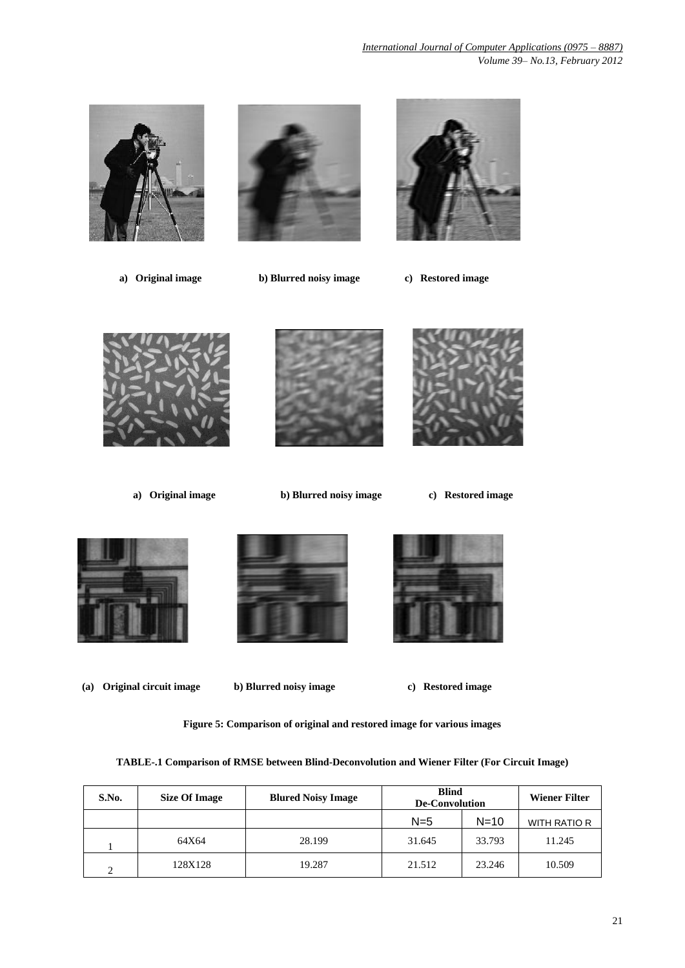



**(a) Original circuit image b) Blurred noisy image c) Restored image**



**Figure 5: Comparison of original and restored image for various images**

| S.No.     | Size Of Image | <b>Blured Noisy Image</b> | <b>Blind</b><br>De-Convolution |        | <b>Wiener Filter</b> |
|-----------|---------------|---------------------------|--------------------------------|--------|----------------------|
|           |               |                           | $N=5$                          | $N=10$ | <b>WITH RATIO R</b>  |
|           | 64X64         | 28.199                    | 31.645                         | 33.793 | 11.245               |
| $\bigcap$ | 128X128       | 19.287                    | 21.512                         | 23.246 | 10.509               |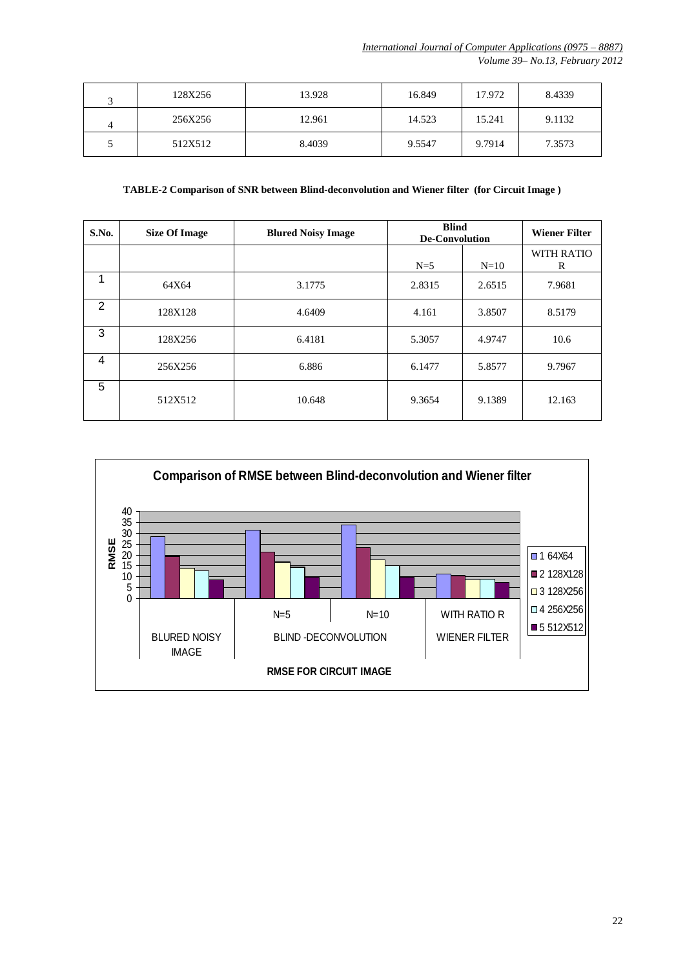*Volume 39– No.13, February 2012*

| ⌒ | 128X256 | 13.928 | 16.849 | 17.972 | 8.4339 |
|---|---------|--------|--------|--------|--------|
| 4 | 256X256 | 12.961 | 14.523 | 15.241 | 9.1132 |
|   | 512X512 | 8.4039 | 9.5547 | 9.7914 | 7.3573 |

#### **TABLE-2 Comparison of SNR between Blind-deconvolution and Wiener filter (for Circuit Image )**

| S.No.          | <b>Size Of Image</b> | <b>Blured Noisy Image</b> | <b>Blind</b><br><b>De-Convolution</b> |        | <b>Wiener Filter</b>   |
|----------------|----------------------|---------------------------|---------------------------------------|--------|------------------------|
|                |                      |                           | $N=5$                                 | $N=10$ | <b>WITH RATIO</b><br>R |
| 1              | 64X64                | 3.1775                    | 2.8315                                | 2.6515 | 7.9681                 |
| 2              | 128X128              | 4.6409                    | 4.161                                 | 3.8507 | 8.5179                 |
| 3              | 128X256              | 6.4181                    | 5.3057                                | 4.9747 | 10.6                   |
| $\overline{4}$ | 256X256              | 6.886                     | 6.1477                                | 5.8577 | 9.7967                 |
| 5              | 512X512              | 10.648                    | 9.3654                                | 9.1389 | 12.163                 |